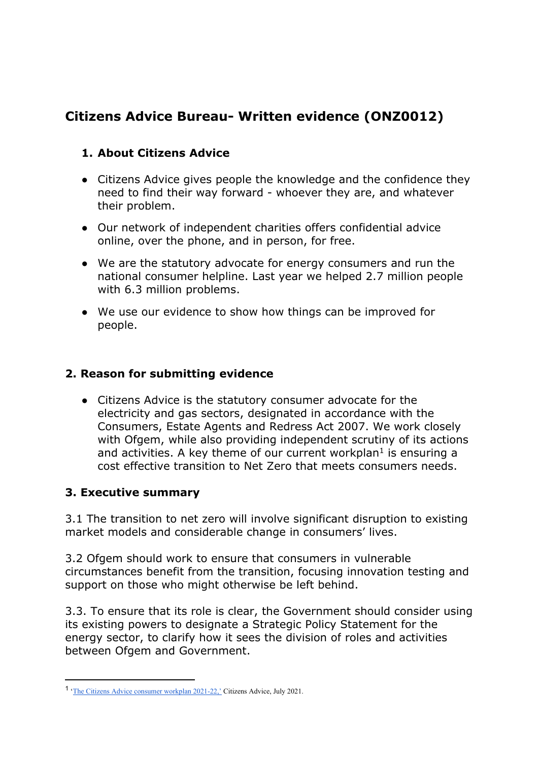# **Citizens Advice Bureau- Written evidence (ONZ0012)**

# **1. About Citizens Advice**

- Citizens Advice gives people the knowledge and the confidence they need to find their way forward - whoever they are, and whatever their problem.
- Our network of independent charities offers confidential advice online, over the phone, and in person, for free.
- We are the statutory advocate for energy consumers and run the national consumer helpline. Last year we helped 2.7 million people with 6.3 million problems.
- We use our evidence to show how things can be improved for people.

## **2. Reason for submitting evidence**

● Citizens Advice is the statutory consumer advocate for the electricity and gas sectors, designated in accordance with the Consumers, Estate Agents and Redress Act 2007. We work closely with Ofgem, while also providing independent scrutiny of its actions and activities. A key theme of our current workplan<sup>1</sup> is ensuring a cost effective transition to Net Zero that meets consumers needs.

## **3. Executive summary**

3.1 The transition to net zero will involve significant disruption to existing market models and considerable change in consumers' lives.

3.2 Ofgem should work to ensure that consumers in vulnerable circumstances benefit from the transition, focusing innovation testing and support on those who might otherwise be left behind.

3.3. To ensure that its role is clear, the Government should consider using its existing powers to designate a Strategic Policy Statement for the energy sector, to clarify how it sees the division of roles and activities between Ofgem and Government.

<sup>1</sup> '[The](https://www.citizensadvice.org.uk/Global/CitizensAdvice/Energy/FINAL%20Citizens%20Advice%20consumer%20work%20plan%202021_22%20(1).pdf) [Citizens](https://www.citizensadvice.org.uk/Global/CitizensAdvice/Energy/FINAL%20Citizens%20Advice%20consumer%20work%20plan%202021_22%20(1).pdf) [Advice](https://www.citizensadvice.org.uk/Global/CitizensAdvice/Energy/FINAL%20Citizens%20Advice%20consumer%20work%20plan%202021_22%20(1).pdf) [consumer](https://www.citizensadvice.org.uk/Global/CitizensAdvice/Energy/FINAL%20Citizens%20Advice%20consumer%20work%20plan%202021_22%20(1).pdf) [workplan](https://www.citizensadvice.org.uk/Global/CitizensAdvice/Energy/FINAL%20Citizens%20Advice%20consumer%20work%20plan%202021_22%20(1).pdf) [2021-22,'](https://www.citizensadvice.org.uk/Global/CitizensAdvice/Energy/FINAL%20Citizens%20Advice%20consumer%20work%20plan%202021_22%20(1).pdf) Citizens Advice, July 2021.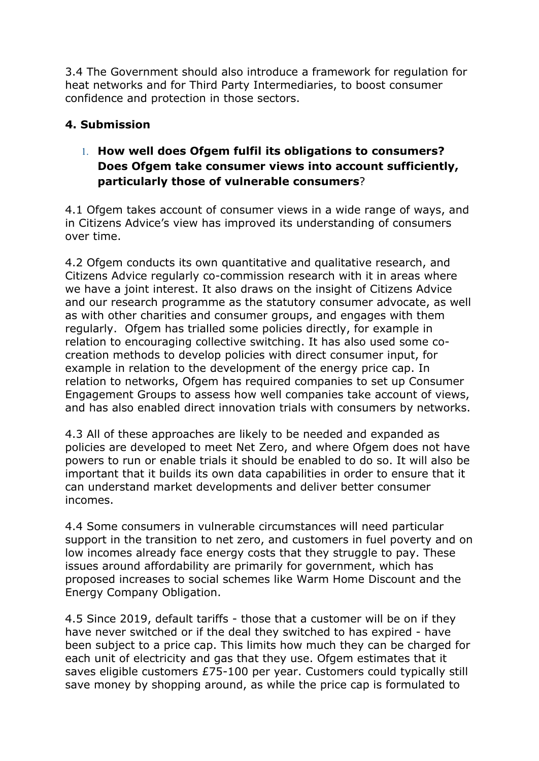3.4 The Government should also introduce a framework for regulation for heat networks and for Third Party Intermediaries, to boost consumer confidence and protection in those sectors.

# **4. Submission**

# 1. **How well does Ofgem fulfil its obligations to consumers? Does Ofgem take consumer views into account sufficiently, particularly those of vulnerable consumers**?

4.1 Ofgem takes account of consumer views in a wide range of ways, and in Citizens Advice's view has improved its understanding of consumers over time.

4.2 Ofgem conducts its own quantitative and qualitative research, and Citizens Advice regularly co-commission research with it in areas where we have a joint interest. It also draws on the insight of Citizens Advice and our research programme as the statutory consumer advocate, as well as with other charities and consumer groups, and engages with them regularly. Ofgem has trialled some policies directly, for example in relation to encouraging collective switching. It has also used some cocreation methods to develop policies with direct consumer input, for example in relation to the development of the energy price cap. In relation to networks, Ofgem has required companies to set up Consumer Engagement Groups to assess how well companies take account of views, and has also enabled direct innovation trials with consumers by networks.

4.3 All of these approaches are likely to be needed and expanded as policies are developed to meet Net Zero, and where Ofgem does not have powers to run or enable trials it should be enabled to do so. It will also be important that it builds its own data capabilities in order to ensure that it can understand market developments and deliver better consumer incomes.

4.4 Some consumers in vulnerable circumstances will need particular support in the transition to net zero, and customers in fuel poverty and on low incomes already face energy costs that they struggle to pay. These issues around affordability are primarily for government, which has proposed increases to social schemes like Warm Home Discount and the Energy Company Obligation.

4.5 Since 2019, default tariffs - those that a customer will be on if they have never switched or if the deal they switched to has expired - have been subject to a price cap. This limits how much they can be charged for each unit of electricity and gas that they use. Ofgem estimates that it saves eligible customers £75-100 per year. Customers could typically still save money by shopping around, as while the price cap is formulated to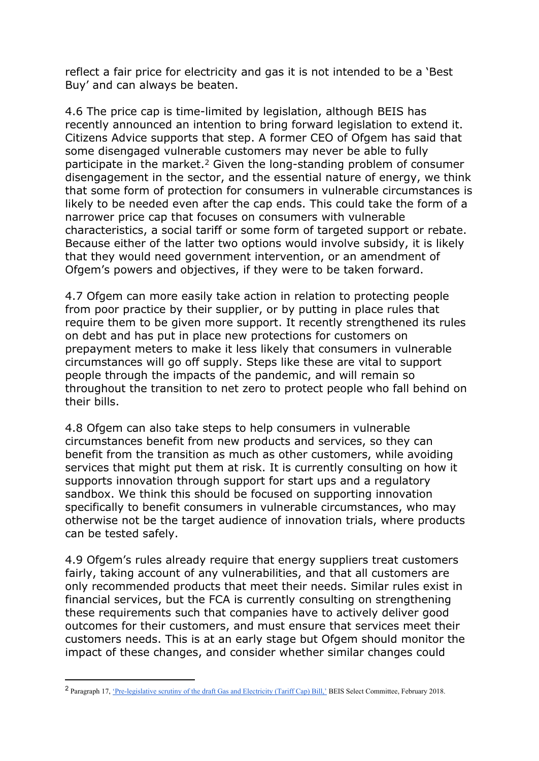reflect a fair price for electricity and gas it is not intended to be a 'Best Buy' and can always be beaten.

4.6 The price cap is time-limited by legislation, although BEIS has recently announced an intention to bring forward legislation to extend it. Citizens Advice supports that step. A former CEO of Ofgem has said that some disengaged vulnerable customers may never be able to fully participate in the market.<sup>2</sup> Given the long-standing problem of consumer disengagement in the sector, and the essential nature of energy, we think that some form of protection for consumers in vulnerable circumstances is likely to be needed even after the cap ends. This could take the form of a narrower price cap that focuses on consumers with vulnerable characteristics, a social tariff or some form of targeted support or rebate. Because either of the latter two options would involve subsidy, it is likely that they would need government intervention, or an amendment of Ofgem's powers and objectives, if they were to be taken forward.

4.7 Ofgem can more easily take action in relation to protecting people from poor practice by their supplier, or by putting in place rules that require them to be given more support. It recently strengthened its rules on debt and has put in place new protections for customers on prepayment meters to make it less likely that consumers in vulnerable circumstances will go off supply. Steps like these are vital to support people through the impacts of the pandemic, and will remain so throughout the transition to net zero to protect people who fall behind on their bills.

4.8 Ofgem can also take steps to help consumers in vulnerable circumstances benefit from new products and services, so they can benefit from the transition as much as other customers, while avoiding services that might put them at risk. It is currently consulting on how it supports innovation through support for start ups and a regulatory sandbox. We think this should be focused on supporting innovation specifically to benefit consumers in vulnerable circumstances, who may otherwise not be the target audience of innovation trials, where products can be tested safely.

4.9 Ofgem's rules already require that energy suppliers treat customers fairly, taking account of any vulnerabilities, and that all customers are only recommended products that meet their needs. Similar rules exist in financial services, but the FCA is currently consulting on strengthening these requirements such that companies have to actively deliver good outcomes for their customers, and must ensure that services meet their customers needs. This is at an early stage but Ofgem should monitor the impact of these changes, and consider whether similar changes could

<sup>2</sup> Paragraph 17, ['Pre-legislative](https://publications.parliament.uk/pa/cm201719/cmselect/cmbeis/517/517.pdf) [scrutiny](https://publications.parliament.uk/pa/cm201719/cmselect/cmbeis/517/517.pdf) [of](https://publications.parliament.uk/pa/cm201719/cmselect/cmbeis/517/517.pdf) [the](https://publications.parliament.uk/pa/cm201719/cmselect/cmbeis/517/517.pdf) [draft](https://publications.parliament.uk/pa/cm201719/cmselect/cmbeis/517/517.pdf) [Gas](https://publications.parliament.uk/pa/cm201719/cmselect/cmbeis/517/517.pdf) [and](https://publications.parliament.uk/pa/cm201719/cmselect/cmbeis/517/517.pdf) [Electricity](https://publications.parliament.uk/pa/cm201719/cmselect/cmbeis/517/517.pdf) [\(Tariff](https://publications.parliament.uk/pa/cm201719/cmselect/cmbeis/517/517.pdf) [Cap\)](https://publications.parliament.uk/pa/cm201719/cmselect/cmbeis/517/517.pdf) [Bill,'](https://publications.parliament.uk/pa/cm201719/cmselect/cmbeis/517/517.pdf) BEIS Select Committee, February 2018.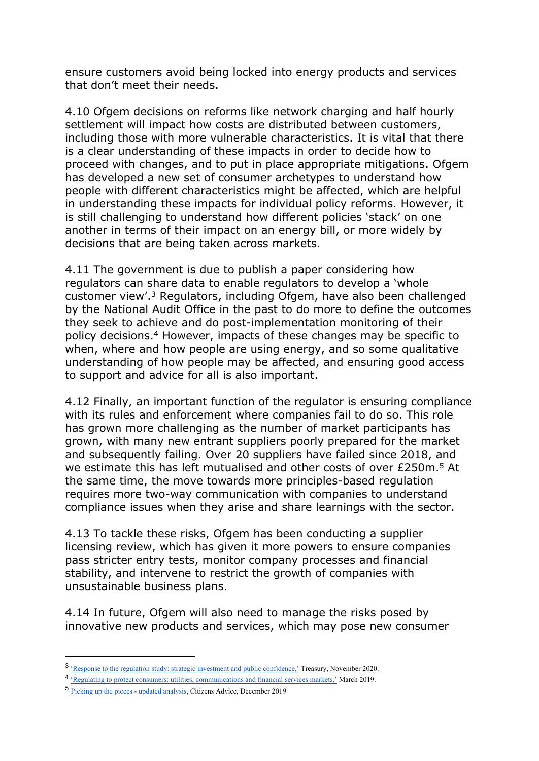ensure customers avoid being locked into energy products and services that don't meet their needs.

4.10 Ofgem decisions on reforms like network charging and half hourly settlement will impact how costs are distributed between customers, including those with more vulnerable characteristics. It is vital that there is a clear understanding of these impacts in order to decide how to proceed with changes, and to put in place appropriate mitigations. Ofgem has developed a new set of consumer archetypes to understand how people with different characteristics might be affected, which are helpful in understanding these impacts for individual policy reforms. However, it is still challenging to understand how different policies 'stack' on one another in terms of their impact on an energy bill, or more widely by decisions that are being taken across markets.

4.11 The government is due to publish a paper considering how regulators can share data to enable regulators to develop a 'whole customer view'.<sup>3</sup> Regulators, including Ofgem, have also been challenged by the National Audit Office in the past to do more to define the outcomes they seek to achieve and do post-implementation monitoring of their policy decisions.<sup>4</sup> However, impacts of these changes may be specific to when, where and how people are using energy, and so some qualitative understanding of how people may be affected, and ensuring good access to support and advice for all is also important.

4.12 Finally, an important function of the regulator is ensuring compliance with its rules and enforcement where companies fail to do so. This role has grown more challenging as the number of market participants has grown, with many new entrant suppliers poorly prepared for the market and subsequently failing. Over 20 suppliers have failed since 2018, and we estimate this has left mutualised and other costs of over £250m.<sup>5</sup> At the same time, the move towards more principles-based regulation requires more two-way communication with companies to understand compliance issues when they arise and share learnings with the sector.

4.13 To tackle these risks, Ofgem has been conducting a supplier licensing review, which has given it more powers to ensure companies pass stricter entry tests, monitor company processes and financial stability, and intervene to restrict the growth of companies with unsustainable business plans.

4.14 In future, Ofgem will also need to manage the risks posed by innovative new products and services, which may pose new consumer

<sup>&</sup>lt;sup>3</sup> ['Response](https://assets.publishing.service.gov.uk/government/uploads/system/uploads/attachment_data/file/938044/Government_Response_to_the_Regulation_Study._Strategic_Investment_and_Public_Confidence._FINAL_.pdf) [to](https://assets.publishing.service.gov.uk/government/uploads/system/uploads/attachment_data/file/938044/Government_Response_to_the_Regulation_Study._Strategic_Investment_and_Public_Confidence._FINAL_.pdf) [the](https://assets.publishing.service.gov.uk/government/uploads/system/uploads/attachment_data/file/938044/Government_Response_to_the_Regulation_Study._Strategic_Investment_and_Public_Confidence._FINAL_.pdf) [regulation](https://assets.publishing.service.gov.uk/government/uploads/system/uploads/attachment_data/file/938044/Government_Response_to_the_Regulation_Study._Strategic_Investment_and_Public_Confidence._FINAL_.pdf) [study:](https://assets.publishing.service.gov.uk/government/uploads/system/uploads/attachment_data/file/938044/Government_Response_to_the_Regulation_Study._Strategic_Investment_and_Public_Confidence._FINAL_.pdf) [strategic](https://assets.publishing.service.gov.uk/government/uploads/system/uploads/attachment_data/file/938044/Government_Response_to_the_Regulation_Study._Strategic_Investment_and_Public_Confidence._FINAL_.pdf) [investment](https://assets.publishing.service.gov.uk/government/uploads/system/uploads/attachment_data/file/938044/Government_Response_to_the_Regulation_Study._Strategic_Investment_and_Public_Confidence._FINAL_.pdf) [and](https://assets.publishing.service.gov.uk/government/uploads/system/uploads/attachment_data/file/938044/Government_Response_to_the_Regulation_Study._Strategic_Investment_and_Public_Confidence._FINAL_.pdf) [public](https://assets.publishing.service.gov.uk/government/uploads/system/uploads/attachment_data/file/938044/Government_Response_to_the_Regulation_Study._Strategic_Investment_and_Public_Confidence._FINAL_.pdf) [confidence,'](https://assets.publishing.service.gov.uk/government/uploads/system/uploads/attachment_data/file/938044/Government_Response_to_the_Regulation_Study._Strategic_Investment_and_Public_Confidence._FINAL_.pdf) Treasury, November 2020.

<sup>&</sup>lt;sup>4</sup> ['Regulating](https://www.nao.org.uk/report/regulating-to-protect-consumers-utilities-communications-and-financial-services-markets/) [to](https://www.nao.org.uk/report/regulating-to-protect-consumers-utilities-communications-and-financial-services-markets/) [protect](https://www.nao.org.uk/report/regulating-to-protect-consumers-utilities-communications-and-financial-services-markets/) [consumers:](https://www.nao.org.uk/report/regulating-to-protect-consumers-utilities-communications-and-financial-services-markets/) [utilities,](https://www.nao.org.uk/report/regulating-to-protect-consumers-utilities-communications-and-financial-services-markets/) [communications](https://www.nao.org.uk/report/regulating-to-protect-consumers-utilities-communications-and-financial-services-markets/) [and](https://www.nao.org.uk/report/regulating-to-protect-consumers-utilities-communications-and-financial-services-markets/) [financial](https://www.nao.org.uk/report/regulating-to-protect-consumers-utilities-communications-and-financial-services-markets/) [services](https://www.nao.org.uk/report/regulating-to-protect-consumers-utilities-communications-and-financial-services-markets/) [markets,'](https://www.nao.org.uk/report/regulating-to-protect-consumers-utilities-communications-and-financial-services-markets/) March 2019.

<sup>5</sup> [Picking](https://www.citizensadvice.org.uk/about-us/our-work/policy/policy-research-topics/energy-policy-research-and-consultation-responses/energy-policy-research/picking-up-the-pieces-updated-analysis/) [up](https://www.citizensadvice.org.uk/about-us/our-work/policy/policy-research-topics/energy-policy-research-and-consultation-responses/energy-policy-research/picking-up-the-pieces-updated-analysis/) [the](https://www.citizensadvice.org.uk/about-us/our-work/policy/policy-research-topics/energy-policy-research-and-consultation-responses/energy-policy-research/picking-up-the-pieces-updated-analysis/) [pieces](https://www.citizensadvice.org.uk/about-us/our-work/policy/policy-research-topics/energy-policy-research-and-consultation-responses/energy-policy-research/picking-up-the-pieces-updated-analysis/) [-](https://www.citizensadvice.org.uk/about-us/our-work/policy/policy-research-topics/energy-policy-research-and-consultation-responses/energy-policy-research/picking-up-the-pieces-updated-analysis/) [updated](https://www.citizensadvice.org.uk/about-us/our-work/policy/policy-research-topics/energy-policy-research-and-consultation-responses/energy-policy-research/picking-up-the-pieces-updated-analysis/) [analysis](https://www.citizensadvice.org.uk/about-us/our-work/policy/policy-research-topics/energy-policy-research-and-consultation-responses/energy-policy-research/picking-up-the-pieces-updated-analysis/), Citizens Advice, December 2019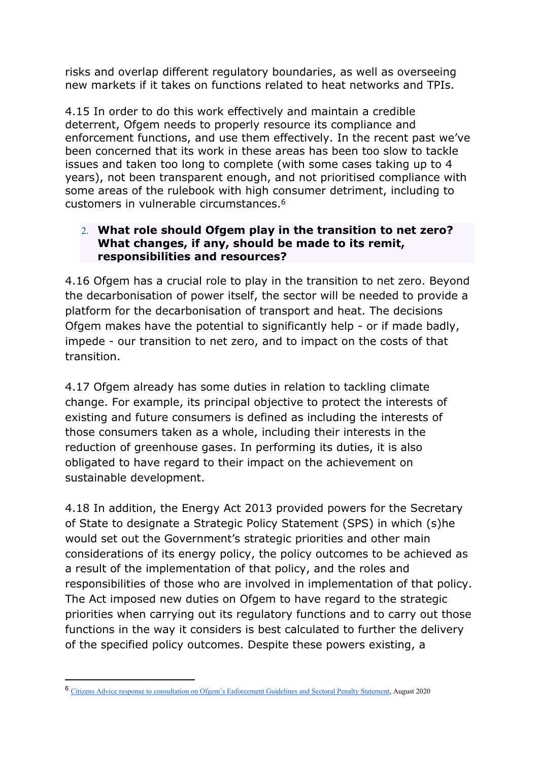risks and overlap different regulatory boundaries, as well as overseeing new markets if it takes on functions related to heat networks and TPIs.

4.15 In order to do this work effectively and maintain a credible deterrent, Ofgem needs to properly resource its compliance and enforcement functions, and use them effectively. In the recent past we've been concerned that its work in these areas has been too slow to tackle issues and taken too long to complete (with some cases taking up to 4 years), not been transparent enough, and not prioritised compliance with some areas of the rulebook with high consumer detriment, including to customers in vulnerable circumstances.<sup>6</sup>

#### 2. **What role should Ofgem play in the transition to net zero? What changes, if any, should be made to its remit, responsibilities and resources?**

4.16 Ofgem has a crucial role to play in the transition to net zero. Beyond the decarbonisation of power itself, the sector will be needed to provide a platform for the decarbonisation of transport and heat. The decisions Ofgem makes have the potential to significantly help - or if made badly, impede - our transition to net zero, and to impact on the costs of that transition.

4.17 Ofgem already has some duties in relation to tackling climate change. For example, its principal objective to protect the interests of existing and future consumers is defined as including the interests of those consumers taken as a whole, including their interests in the reduction of greenhouse gases. In performing its duties, it is also obligated to have regard to their impact on the achievement on sustainable development.

4.18 In addition, the Energy Act 2013 provided powers for the Secretary of State to designate a Strategic Policy Statement (SPS) in which (s)he would set out the Government's strategic priorities and other main considerations of its energy policy, the policy outcomes to be achieved as a result of the implementation of that policy, and the roles and responsibilities of those who are involved in implementation of that policy. The Act imposed new duties on Ofgem to have regard to the strategic priorities when carrying out its regulatory functions and to carry out those functions in the way it considers is best calculated to further the delivery of the specified policy outcomes. Despite these powers existing, a

<sup>6</sup> [Citizens](https://www.citizensadvice.org.uk/about-us/our-work/policy/policy-research-topics/energy-policy-research-and-consultation-responses/energy-consultation-responses/citizens-advice-response-to-consultation-on-ofgems-enforcement-guidelines-and-sectoral-penalty-statement/) [Advice](https://www.citizensadvice.org.uk/about-us/our-work/policy/policy-research-topics/energy-policy-research-and-consultation-responses/energy-consultation-responses/citizens-advice-response-to-consultation-on-ofgems-enforcement-guidelines-and-sectoral-penalty-statement/) [response](https://www.citizensadvice.org.uk/about-us/our-work/policy/policy-research-topics/energy-policy-research-and-consultation-responses/energy-consultation-responses/citizens-advice-response-to-consultation-on-ofgems-enforcement-guidelines-and-sectoral-penalty-statement/) [to](https://www.citizensadvice.org.uk/about-us/our-work/policy/policy-research-topics/energy-policy-research-and-consultation-responses/energy-consultation-responses/citizens-advice-response-to-consultation-on-ofgems-enforcement-guidelines-and-sectoral-penalty-statement/) [consultation](https://www.citizensadvice.org.uk/about-us/our-work/policy/policy-research-topics/energy-policy-research-and-consultation-responses/energy-consultation-responses/citizens-advice-response-to-consultation-on-ofgems-enforcement-guidelines-and-sectoral-penalty-statement/) [on](https://www.citizensadvice.org.uk/about-us/our-work/policy/policy-research-topics/energy-policy-research-and-consultation-responses/energy-consultation-responses/citizens-advice-response-to-consultation-on-ofgems-enforcement-guidelines-and-sectoral-penalty-statement/) [Ofgem's](https://www.citizensadvice.org.uk/about-us/our-work/policy/policy-research-topics/energy-policy-research-and-consultation-responses/energy-consultation-responses/citizens-advice-response-to-consultation-on-ofgems-enforcement-guidelines-and-sectoral-penalty-statement/) [Enforcement](https://www.citizensadvice.org.uk/about-us/our-work/policy/policy-research-topics/energy-policy-research-and-consultation-responses/energy-consultation-responses/citizens-advice-response-to-consultation-on-ofgems-enforcement-guidelines-and-sectoral-penalty-statement/) [Guidelines](https://www.citizensadvice.org.uk/about-us/our-work/policy/policy-research-topics/energy-policy-research-and-consultation-responses/energy-consultation-responses/citizens-advice-response-to-consultation-on-ofgems-enforcement-guidelines-and-sectoral-penalty-statement/) [and](https://www.citizensadvice.org.uk/about-us/our-work/policy/policy-research-topics/energy-policy-research-and-consultation-responses/energy-consultation-responses/citizens-advice-response-to-consultation-on-ofgems-enforcement-guidelines-and-sectoral-penalty-statement/) [Sectoral](https://www.citizensadvice.org.uk/about-us/our-work/policy/policy-research-topics/energy-policy-research-and-consultation-responses/energy-consultation-responses/citizens-advice-response-to-consultation-on-ofgems-enforcement-guidelines-and-sectoral-penalty-statement/) [Penalty](https://www.citizensadvice.org.uk/about-us/our-work/policy/policy-research-topics/energy-policy-research-and-consultation-responses/energy-consultation-responses/citizens-advice-response-to-consultation-on-ofgems-enforcement-guidelines-and-sectoral-penalty-statement/) [Statement,](https://www.citizensadvice.org.uk/about-us/our-work/policy/policy-research-topics/energy-policy-research-and-consultation-responses/energy-consultation-responses/citizens-advice-response-to-consultation-on-ofgems-enforcement-guidelines-and-sectoral-penalty-statement/) August 2020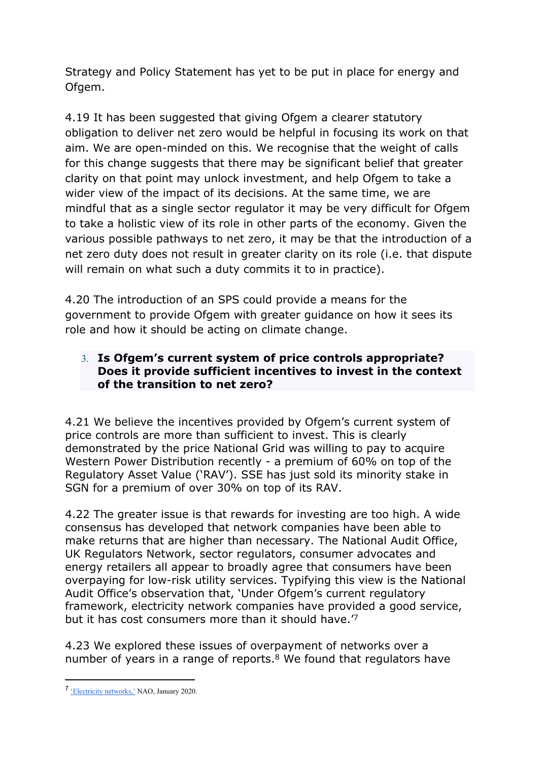Strategy and Policy Statement has yet to be put in place for energy and Ofgem.

4.19 It has been suggested that giving Ofgem a clearer statutory obligation to deliver net zero would be helpful in focusing its work on that aim. We are open-minded on this. We recognise that the weight of calls for this change suggests that there may be significant belief that greater clarity on that point may unlock investment, and help Ofgem to take a wider view of the impact of its decisions. At the same time, we are mindful that as a single sector regulator it may be very difficult for Ofgem to take a holistic view of its role in other parts of the economy. Given the various possible pathways to net zero, it may be that the introduction of a net zero duty does not result in greater clarity on its role (i.e. that dispute will remain on what such a duty commits it to in practice).

4.20 The introduction of an SPS could provide a means for the government to provide Ofgem with greater guidance on how it sees its role and how it should be acting on climate change.

## 3. **Is Ofgem's current system of price controls appropriate? Does it provide sufficient incentives to invest in the context of the transition to net zero?**

4.21 We believe the incentives provided by Ofgem's current system of price controls are more than sufficient to invest. This is clearly demonstrated by the price National Grid was willing to pay to acquire Western Power Distribution recently - a premium of 60% on top of the Regulatory Asset Value ('RAV'). SSE has just sold its minority stake in SGN for a premium of over 30% on top of its RAV.

4.22 The greater issue is that rewards for investing are too high. A wide consensus has developed that network companies have been able to make returns that are higher than necessary. The National Audit Office, UK Regulators Network, sector regulators, consumer advocates and energy retailers all appear to broadly agree that consumers have been overpaying for low-risk utility services. Typifying this view is the National Audit Office's observation that, 'Under Ofgem's current regulatory framework, electricity network companies have provided a good service, but it has cost consumers more than it should have.'<sup>7</sup>

4.23 We explored these issues of overpayment of networks over a number of years in a range of reports.<sup>8</sup> We found that regulators have

<sup>&</sup>lt;sup>7</sup> ['Electricity](https://www.nao.org.uk/report/electricity-networks/) [networks,'](https://www.nao.org.uk/report/electricity-networks/) NAO, January 2020.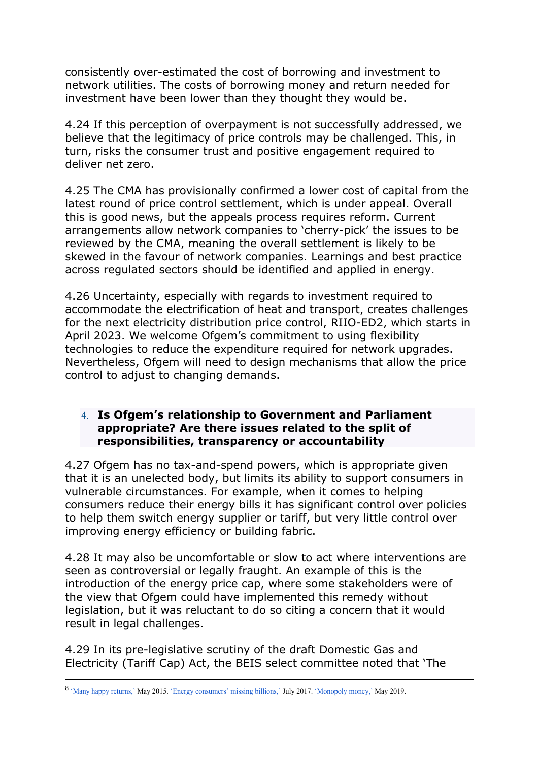consistently over-estimated the cost of borrowing and investment to network utilities. The costs of borrowing money and return needed for investment have been lower than they thought they would be.

4.24 If this perception of overpayment is not successfully addressed, we believe that the legitimacy of price controls may be challenged. This, in turn, risks the consumer trust and positive engagement required to deliver net zero.

4.25 The CMA has provisionally confirmed a lower cost of capital from the latest round of price control settlement, which is under appeal. Overall this is good news, but the appeals process requires reform. Current arrangements allow network companies to 'cherry-pick' the issues to be reviewed by the CMA, meaning the overall settlement is likely to be skewed in the favour of network companies. Learnings and best practice across regulated sectors should be identified and applied in energy.

4.26 Uncertainty, especially with regards to investment required to accommodate the electrification of heat and transport, creates challenges for the next electricity distribution price control, RIIO-ED2, which starts in April 2023. We welcome Ofgem's commitment to using flexibility technologies to reduce the expenditure required for network upgrades. Nevertheless, Ofgem will need to design mechanisms that allow the price control to adjust to changing demands.

#### 4. **Is Ofgem's relationship to Government and Parliament appropriate? Are there issues related to the split of responsibilities, transparency or accountability**

4.27 Ofgem has no tax-and-spend powers, which is appropriate given that it is an unelected body, but limits its ability to support consumers in vulnerable circumstances. For example, when it comes to helping consumers reduce their energy bills it has significant control over policies to help them switch energy supplier or tariff, but very little control over improving energy efficiency or building fabric.

4.28 It may also be uncomfortable or slow to act where interventions are seen as controversial or legally fraught. An example of this is the introduction of the energy price cap, where some stakeholders were of the view that Ofgem could have implemented this remedy without legislation, but it was reluctant to do so citing a concern that it would result in legal challenges.

4.29 In its pre-legislative scrutiny of the draft Domestic Gas and Electricity (Tariff Cap) Act, the BEIS select committee noted that 'The

<sup>8</sup> ['Many](https://www.citizensadvice.org.uk/cymraeg/amdanom-ni/our-work/policy/policy-research-topics/consumer-policy-research/consumer-policy-research/many-happy-returns/) [happy](https://www.citizensadvice.org.uk/cymraeg/amdanom-ni/our-work/policy/policy-research-topics/consumer-policy-research/consumer-policy-research/many-happy-returns/) [returns,'](https://www.citizensadvice.org.uk/cymraeg/amdanom-ni/our-work/policy/policy-research-topics/consumer-policy-research/consumer-policy-research/many-happy-returns/) May 2015. ['Energy](https://www.citizensadvice.org.uk/about-us/our-work/policy/policy-research-topics/energy-policy-research-and-consultation-responses/energy-policy-research/energy-consumers-missing-billions/) [consumers'](https://www.citizensadvice.org.uk/about-us/our-work/policy/policy-research-topics/energy-policy-research-and-consultation-responses/energy-policy-research/energy-consumers-missing-billions/) [missing](https://www.citizensadvice.org.uk/about-us/our-work/policy/policy-research-topics/energy-policy-research-and-consultation-responses/energy-policy-research/energy-consumers-missing-billions/) [billions,'](https://www.citizensadvice.org.uk/about-us/our-work/policy/policy-research-topics/energy-policy-research-and-consultation-responses/energy-policy-research/energy-consumers-missing-billions/) July 2017. ['Monopoly](https://www.citizensadvice.org.uk/about-us/our-work/policy/policy-research-topics/consumer-policy-research/consumer-policy-research/monopoly-money-how-consumers-overpaid-by-billions/) [money,'](https://www.citizensadvice.org.uk/about-us/our-work/policy/policy-research-topics/consumer-policy-research/consumer-policy-research/monopoly-money-how-consumers-overpaid-by-billions/) May 2019.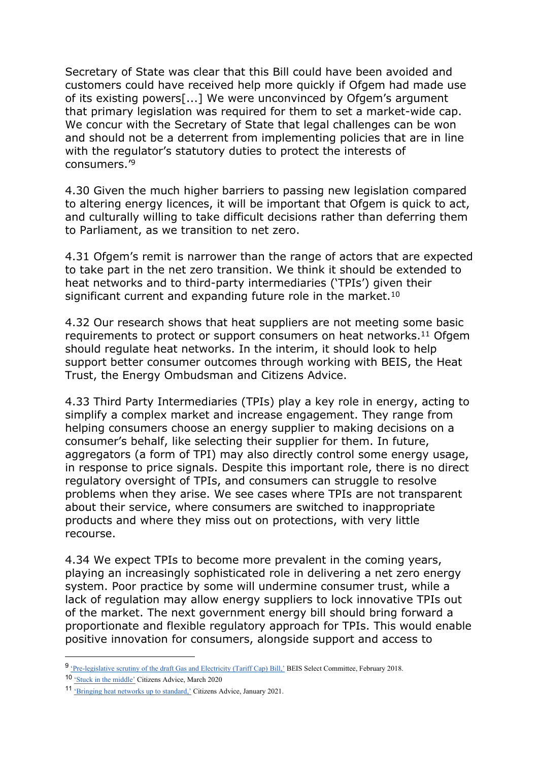Secretary of State was clear that this Bill could have been avoided and customers could have received help more quickly if Ofgem had made use of its existing powers[...] We were unconvinced by Ofgem's argument that primary legislation was required for them to set a market-wide cap. We concur with the Secretary of State that legal challenges can be won and should not be a deterrent from implementing policies that are in line with the regulator's statutory duties to protect the interests of consumers.'<sup>9</sup>

4.30 Given the much higher barriers to passing new legislation compared to altering energy licences, it will be important that Ofgem is quick to act, and culturally willing to take difficult decisions rather than deferring them to Parliament, as we transition to net zero.

4.31 Ofgem's remit is narrower than the range of actors that are expected to take part in the net zero transition. We think it should be extended to heat networks and to third-party intermediaries ('TPIs') given their significant current and expanding future role in the market.<sup>10</sup>

4.32 Our research shows that heat suppliers are not meeting some basic requirements to protect or support consumers on heat networks.<sup>11</sup> Ofgem should regulate heat networks. In the interim, it should look to help support better consumer outcomes through working with BEIS, the Heat Trust, the Energy Ombudsman and Citizens Advice.

4.33 Third Party Intermediaries (TPIs) play a key role in energy, acting to simplify a complex market and increase engagement. They range from helping consumers choose an energy supplier to making decisions on a consumer's behalf, like selecting their supplier for them. In future, aggregators (a form of TPI) may also directly control some energy usage, in response to price signals. Despite this important role, there is no direct regulatory oversight of TPIs, and consumers can struggle to resolve problems when they arise. We see cases where TPIs are not transparent about their service, where consumers are switched to inappropriate products and where they miss out on protections, with very little recourse.

4.34 We expect TPIs to become more prevalent in the coming years, playing an increasingly sophisticated role in delivering a net zero energy system. Poor practice by some will undermine consumer trust, while a lack of regulation may allow energy suppliers to lock innovative TPIs out of the market. The next government energy bill should bring forward a proportionate and flexible regulatory approach for TPIs. This would enable positive innovation for consumers, alongside support and access to

<sup>&</sup>lt;sup>9</sup> Pre-legislative [scrutiny](https://publications.parliament.uk/pa/cm201719/cmselect/cmbeis/517/517.pdf) [of](https://publications.parliament.uk/pa/cm201719/cmselect/cmbeis/517/517.pdf) [the](https://publications.parliament.uk/pa/cm201719/cmselect/cmbeis/517/517.pdf) [draft](https://publications.parliament.uk/pa/cm201719/cmselect/cmbeis/517/517.pdf) [Gas](https://publications.parliament.uk/pa/cm201719/cmselect/cmbeis/517/517.pdf) [and](https://publications.parliament.uk/pa/cm201719/cmselect/cmbeis/517/517.pdf) [Electricity](https://publications.parliament.uk/pa/cm201719/cmselect/cmbeis/517/517.pdf) [\(Tariff](https://publications.parliament.uk/pa/cm201719/cmselect/cmbeis/517/517.pdf) [Cap\)](https://publications.parliament.uk/pa/cm201719/cmselect/cmbeis/517/517.pdf) [Bill,'](https://publications.parliament.uk/pa/cm201719/cmselect/cmbeis/517/517.pdf) BEIS Select Committee, February 2018.

<sup>10</sup> ['Stuck](https://www.citizensadvice.org.uk/about-us/our-work/policy/policy-research-topics/energy-policy-research-and-consultation-responses/energy-policy-research/stuck-in-the-middle/) [in](https://www.citizensadvice.org.uk/about-us/our-work/policy/policy-research-topics/energy-policy-research-and-consultation-responses/energy-policy-research/stuck-in-the-middle/) [the](https://www.citizensadvice.org.uk/about-us/our-work/policy/policy-research-topics/energy-policy-research-and-consultation-responses/energy-policy-research/stuck-in-the-middle/) [middle'](https://www.citizensadvice.org.uk/about-us/our-work/policy/policy-research-topics/energy-policy-research-and-consultation-responses/energy-policy-research/stuck-in-the-middle/) Citizens Advice, March 2020

<sup>11</sup> ['Bringing](https://www.citizensadvice.org.uk/Global/CitizensAdvice/Energy/Bringing%20heat%20networks%20up%20to%20standard%20-%20How%20heat%20networks%20can%20start%20delivering%20better%20customer%20service%20outcomes%20(1).pdf) [heat](https://www.citizensadvice.org.uk/Global/CitizensAdvice/Energy/Bringing%20heat%20networks%20up%20to%20standard%20-%20How%20heat%20networks%20can%20start%20delivering%20better%20customer%20service%20outcomes%20(1).pdf) [networks](https://www.citizensadvice.org.uk/Global/CitizensAdvice/Energy/Bringing%20heat%20networks%20up%20to%20standard%20-%20How%20heat%20networks%20can%20start%20delivering%20better%20customer%20service%20outcomes%20(1).pdf) [up](https://www.citizensadvice.org.uk/Global/CitizensAdvice/Energy/Bringing%20heat%20networks%20up%20to%20standard%20-%20How%20heat%20networks%20can%20start%20delivering%20better%20customer%20service%20outcomes%20(1).pdf) [to](https://www.citizensadvice.org.uk/Global/CitizensAdvice/Energy/Bringing%20heat%20networks%20up%20to%20standard%20-%20How%20heat%20networks%20can%20start%20delivering%20better%20customer%20service%20outcomes%20(1).pdf) [standard,'](https://www.citizensadvice.org.uk/Global/CitizensAdvice/Energy/Bringing%20heat%20networks%20up%20to%20standard%20-%20How%20heat%20networks%20can%20start%20delivering%20better%20customer%20service%20outcomes%20(1).pdf) Citizens Advice, January 2021.